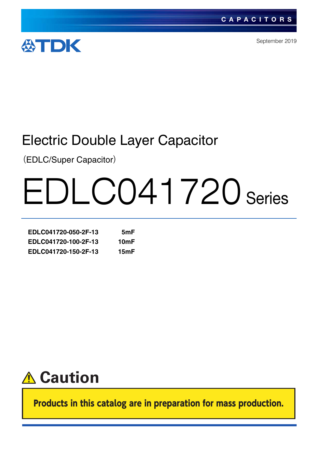

September 2019

# Electric Double Layer Capacitor

(EDLC/Super Capacitor)

# EDLC041720 Series

| EDLC041720-050-2F-13 | 5mF  |
|----------------------|------|
| EDLC041720-100-2F-13 | 10mF |
| EDLC041720-150-2F-13 | 15mF |



Products in this catalog are in preparation for mass production.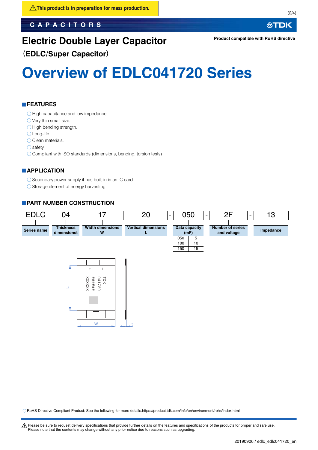## **CAPACITORS**

**公TDK** 

## **Electric Double Layer Capacitor**

**Product compatible with RoHS directive**

## (**EDLC/Super Capacitor**)

# **Overview of EDLC041720 Series**

## **FEATURES**

- O High capacitance and low impedance.
- O Very thin small size.
- $\bigcirc$  High bending strength.

○ Long-life.

- O Clean materials.
- $\bigcirc$  safety
- O Compliant with ISO standards (dimensions, bending, torsion tests)

## **APPLICATION**

 $\bigcirc$  Secondary power supply it has built-in in an IC card

 $\bigcirc$  Storage element of energy harvesting

## **PART NUMBER CONSTRUCTION**



RoHS Directive Compliant Product: See the following for more details.https://product.tdk.com/info/en/environment/rohs/index.html

A Please be sure to request delivery specifications that provide further details on the features and specifications of the products for proper and safe use. Please note that the contents may change without any prior notice due to reasons such as upgrading.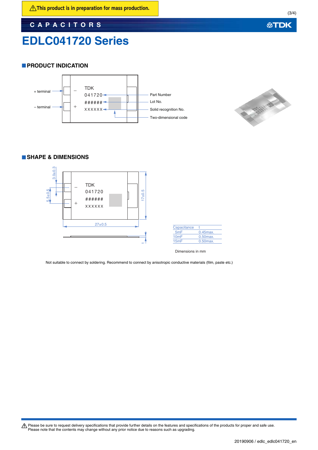**CAPACITORS**

## **EDLC041720 Series**

(3/4)

## **PRODUCT INDICATION**





## **SHAPE & DIMENSIONS**



| Capacitance      |               |
|------------------|---------------|
| 5 <sub>m</sub> F | $0.45$ $max.$ |
| 10mF             | $0.50$ max.   |
| 15mF             | $0.50$ $max.$ |

Dimensions in mm

Not suitable to connect by soldering. Recommend to connect by anisotropic conductive materials (film, paste etc.)

Please be sure to request delivery specifications that provide further details on the features and specifications of the products for proper and safe use.<br>Please note that the contents may change without any prior notice d